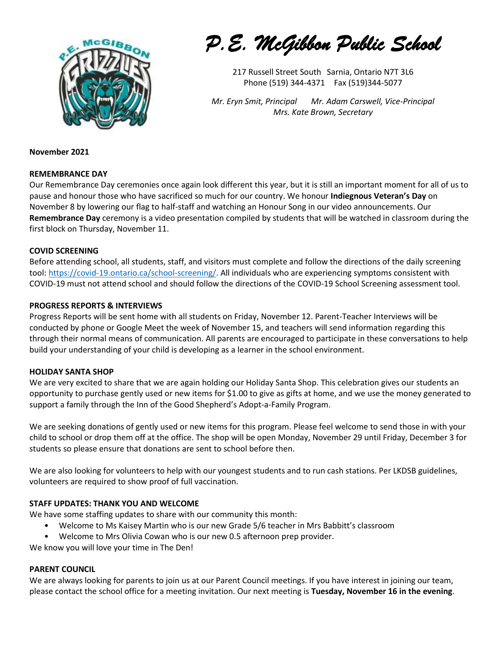

*P.E. McGibbon Public School* 

217 Russell Street South Sarnia, Ontario N7T 3L6 Phone (519) 344-4371 Fax (519)344-5077

*Mr. Eryn Smit, Principal Mr. Adam Carswell, Vice-Principal Mrs. Kate Brown, Secretary*

### **November 2021**

## **REMEMBRANCE DAY**

Our Remembrance Day ceremonies once again look different this year, but it is still an important moment for all of us to pause and honour those who have sacrificed so much for our country. We honour **Indiegnous Veteran's Day** on November 8 by lowering our flag to half-staff and watching an Honour Song in our video announcements. Our **Remembrance Day** ceremony is a video presentation compiled by students that will be watched in classroom during the first block on Thursday, November 11.

## **COVID SCREENING**

Before attending school, all students, staff, and visitors must complete and follow the directions of the daily screening tool: [https://covid-19.ontario.ca/school-screening/.](https://covid-19.ontario.ca/school-screening/) All individuals who are experiencing symptoms consistent with COVID-19 must not attend school and should follow the directions of the COVID-19 School Screening assessment tool.

## **PROGRESS REPORTS & INTERVIEWS**

Progress Reports will be sent home with all students on Friday, November 12. Parent-Teacher Interviews will be conducted by phone or Google Meet the week of November 15, and teachers will send information regarding this through their normal means of communication. All parents are encouraged to participate in these conversations to help build your understanding of your child is developing as a learner in the school environment.

#### **HOLIDAY SANTA SHOP**

We are very excited to share that we are again holding our Holiday Santa Shop. This celebration gives our students an opportunity to purchase gently used or new items for \$1.00 to give as gifts at home, and we use the money generated to support a family through the Inn of the Good Shepherd's Adopt-a-Family Program.

We are seeking donations of gently used or new items for this program. Please feel welcome to send those in with your child to school or drop them off at the office. The shop will be open Monday, November 29 until Friday, December 3 for students so please ensure that donations are sent to school before then.

We are also looking for volunteers to help with our youngest students and to run cash stations. Per LKDSB guidelines, volunteers are required to show proof of full vaccination.

## **STAFF UPDATES: THANK YOU AND WELCOME**

We have some staffing updates to share with our community this month:

- Welcome to Ms Kaisey Martin who is our new Grade 5/6 teacher in Mrs Babbitt's classroom
- Welcome to Mrs Olivia Cowan who is our new 0.5 afternoon prep provider.

We know you will love your time in The Den!

## **PARENT COUNCIL**

We are always looking for parents to join us at our Parent Council meetings. If you have interest in joining our team, please contact the school office for a meeting invitation. Our next meeting is **Tuesday, November 16 in the evening**.